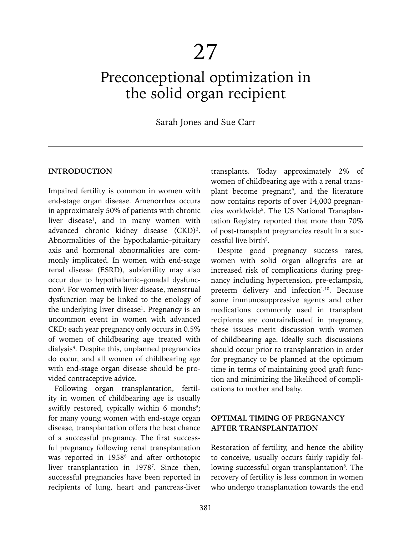# 27

# Preconceptional optimization in the solid organ recipient

# Sarah Jones and Sue Carr

#### **INTRODUCTION**

Impaired fertility is common in women with end-stage organ disease. Amenorrhea occurs in approximately 50% of patients with chronic liver disease<sup>1</sup>, and in many women with advanced chronic kidney disease (CKD)<sup>2</sup>. Abnormalities of the hypothalamic–pituitary axis and hormonal abnormalities are commonly implicated. In women with end-stage renal disease (ESRD), subfertility may also occur due to hypothalamic–gonadal dysfunction<sup>3</sup>. For women with liver disease, menstrual dysfunction may be linked to the etiology of the underlying liver disease<sup>1</sup>. Pregnancy is an uncommon event in women with advanced CKD; each year pregnancy only occurs in 0.5% of women of childbearing age treated with dialysis4 . Despite this, unplanned pregnancies do occur, and all women of childbearing age with end-stage organ disease should be provided contraceptive advice.

Following organ transplantation, fertility in women of childbearing age is usually swiftly restored, typically within  $6$  months<sup>5</sup>; for many young women with end-stage organ disease, transplantation offers the best chance of a successful pregnancy. The first successful pregnancy following renal transplantation was reported in 1958<sup>6</sup> and after orthotopic liver transplantation in 19787 . Since then, successful pregnancies have been reported in recipients of lung, heart and pancreas-liver

transplants. Today approximately 2% of women of childbearing age with a renal transplant become pregnant<sup>9</sup>, and the literature now contains reports of over 14,000 pregnancies worldwide<sup>8</sup>. The US National Transplantation Registry reported that more than 70% of post-transplant pregnancies result in a successful live birth<sup>9</sup>.

Despite good pregnancy success rates, women with solid organ allografts are at increased risk of complications during pregnancy including hypertension, pre-eclampsia, preterm delivery and infection<sup>1,10</sup>. Because some immunosuppressive agents and other medications commonly used in transplant recipients are contraindicated in pregnancy, these issues merit discussion with women of childbearing age. Ideally such discussions should occur prior to transplantation in order for pregnancy to be planned at the optimum time in terms of maintaining good graft function and minimizing the likelihood of complications to mother and baby.

# **OPTIMAL TIMING OF PREGNANCY AFTER TRANSPLANTATION**

Restoration of fertility, and hence the ability to conceive, usually occurs fairly rapidly following successful organ transplantation<sup>8</sup>. The recovery of fertility is less common in women who undergo transplantation towards the end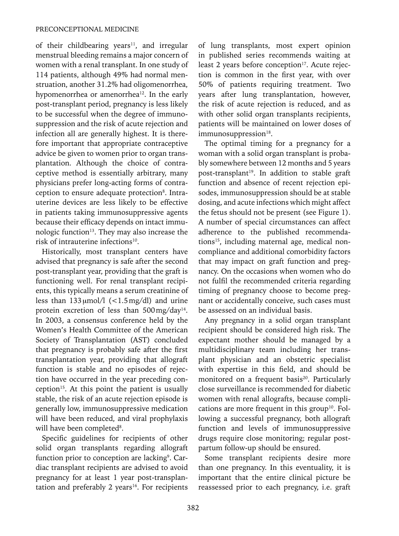of their childbearing years<sup>11</sup>, and irregular menstrual bleeding remains a major concern of women with a renal transplant. In one study of 114 patients, although 49% had normal menstruation, another 31.2% had oligomenorrhea, hypomenorrhea or amenorrhea<sup>12</sup>. In the early post-transplant period, pregnancy is less likely to be successful when the degree of immunosuppression and the risk of acute rejection and infection all are generally highest. It is therefore important that appropriate contraceptive advice be given to women prior to organ transplantation. Although the choice of contraceptive method is essentially arbitrary, many physicians prefer long-acting forms of contraception to ensure adequate protection<sup>8</sup>. Intrauterine devices are less likely to be effective in patients taking immunosuppressive agents because their efficacy depends on intact immunologic function<sup>13</sup>. They may also increase the risk of intrauterine infections<sup>10</sup>.

Historically, most transplant centers have advised that pregnancy is safe after the second post-transplant year, providing that the graft is functioning well. For renal transplant recipients, this typically means a serum creatinine of less than  $133 \mu$ mol/l (<1.5mg/dl) and urine protein excretion of less than 500 mg/day<sup>14</sup>. In 2003, a consensus conference held by the Women's Health Committee of the American Society of Transplantation (AST) concluded that pregnancy is probably safe after the first transplantation year, providing that allograft function is stable and no episodes of rejection have occurred in the year preceding conception<sup>15</sup>. At this point the patient is usually stable, the risk of an acute rejection episode is generally low, immunosuppressive medication will have been reduced, and viral prophylaxis will have been completed<sup>8</sup>.

Specific guidelines for recipients of other solid organ transplants regarding allograft function prior to conception are lacking<sup>9</sup>. Cardiac transplant recipients are advised to avoid pregnancy for at least 1 year post-transplantation and preferably 2 years $16$ . For recipients of lung transplants, most expert opinion in published series recommends waiting at least 2 years before conception<sup>17</sup>. Acute rejection is common in the first year, with over 50% of patients requiring treatment. Two years after lung transplantation, however, the risk of acute rejection is reduced, and as with other solid organ transplants recipients, patients will be maintained on lower doses of immunosuppression<sup>18</sup>.

The optimal timing for a pregnancy for a woman with a solid organ transplant is probably somewhere between 12 months and 5 years post-transplant<sup>19</sup>. In addition to stable graft function and absence of recent rejection episodes, immunosuppression should be at stable dosing, and acute infections which might affect the fetus should not be present (see Figure 1). A number of special circumstances can affect adherence to the published recommendations<sup>15</sup>, including maternal age, medical noncompliance and additional comorbidity factors that may impact on graft function and pregnancy. On the occasions when women who do not fulfil the recommended criteria regarding timing of pregnancy choose to become pregnant or accidentally conceive, such cases must be assessed on an individual basis.

Any pregnancy in a solid organ transplant recipient should be considered high risk. The expectant mother should be managed by a multidisciplinary team including her transplant physician and an obstetric specialist with expertise in this field, and should be monitored on a frequent basis<sup>20</sup>. Particularly close surveillance is recommended for diabetic women with renal allografts, because complications are more frequent in this group<sup>10</sup>. Following a successful pregnancy, both allograft function and levels of immunosuppressive drugs require close monitoring; regular postpartum follow-up should be ensured.

Some transplant recipients desire more than one pregnancy. In this eventuality, it is important that the entire clinical picture be reassessed prior to each pregnancy, i.e. graft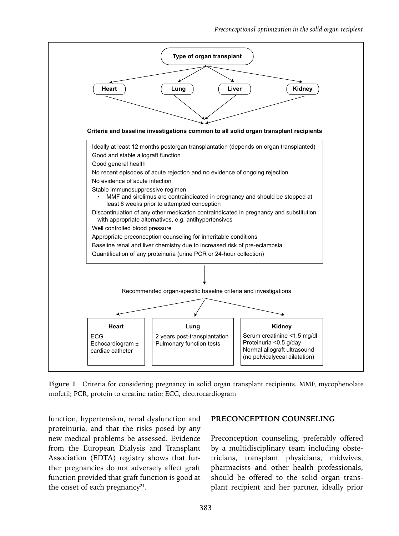

**Figure 1** Criteria for considering pregnancy in solid organ transplant recipients. MMF, mycophenolate mofetil; PCR, protein to creatine ratio; ECG, electrocardiogram

function, hypertension, renal dysfunction and proteinuria, and that the risks posed by any new medical problems be assessed. Evidence from the European Dialysis and Transplant Association (EDTA) registry shows that further pregnancies do not adversely affect graft function provided that graft function is good at the onset of each pregnancy<sup>21</sup>.

#### **PRECONCEPTION COUNSELING**

Preconception counseling, preferably offered by a multidisciplinary team including obstetricians, transplant physicians, midwives, pharmacists and other health professionals, should be offered to the solid organ transplant recipient and her partner, ideally prior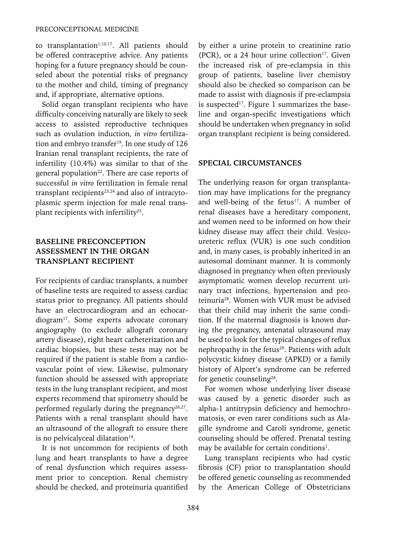to transplantation<sup>1,10,17</sup>. All patients should be offered contraceptive advice. Any patients hoping for a future pregnancy should be counseled about the potential risks of pregnancy to the mother and child, timing of pregnancy and, if appropriate, alternative options.

Solid organ transplant recipients who have difficulty conceiving naturally are likely to seek access to assisted reproductive techniques such as ovulation induction, *in vitro* fertilization and embryo transfer<sup>19</sup>. In one study of 126 Iranian renal transplant recipients, the rate of infertility (10.4%) was similar to that of the general population<sup>22</sup>. There are case reports of successful *in vitro* fertilization in female renal transplant recipients<sup>23,24</sup> and also of intracytoplasmic sperm injection for male renal transplant recipients with infertility25.

# **BASELINE PRECONCEPTION ASSESSMENT IN THE ORGAN TRANSPLANT RECIPIENT**

For recipients of cardiac transplants, a number of baseline tests are required to assess cardiac status prior to pregnancy. All patients should have an electrocardiogram and an echocardiogram<sup>17</sup>. Some experts advocate coronary angiography (to exclude allograft coronary artery disease), right heart catheterization and cardiac biopsies, but these tests may not be required if the patient is stable from a cardiovascular point of view. Likewise, pulmonary function should be assessed with appropriate tests in the lung transplant recipient, and most experts recommend that spirometry should be performed regularly during the pregnancy<sup>26,27</sup>. Patients with a renal transplant should have an ultrasound of the allograft to ensure there is no pelvicalyceal dilatation $14$ .

It is not uncommon for recipients of both lung and heart transplants to have a degree of renal dysfunction which requires assessment prior to conception. Renal chemistry should be checked, and proteinuria quantified by either a urine protein to creatinine ratio (PCR), or a 24 hour urine collection<sup>17</sup>. Given the increased risk of pre-eclampsia in this group of patients, baseline liver chemistry should also be checked so comparison can be made to assist with diagnosis if pre-eclampsia is suspected<sup>17</sup>. Figure 1 summarizes the baseline and organ-specific investigations which should be undertaken when pregnancy in solid organ transplant recipient is being considered.

#### **SPECIAL CIRCUMSTANCES**

The underlying reason for organ transplantation may have implications for the pregnancy and well-being of the fetus<sup>17</sup>. A number of renal diseases have a hereditary component, and women need to be informed on how their kidney disease may affect their child. Vesicoureteric reflux (VUR) is one such condition and, in many cases, is probably inherited in an autosomal dominant manner*.* It is commonly diagnosed in pregnancy when often previously asymptomatic women develop recurrent urinary tract infections, hypertension and proteinuria28. Women with VUR must be advised that their child may inherit the same condition. If the maternal diagnosis is known during the pregnancy, antenatal ultrasound may be used to look for the typical changes of reflux nephropathy in the fetus<sup>29</sup>. Patients with adult polycystic kidney disease (APKD) or a family history of Alport's syndrome can be referred for genetic counseling<sup>28</sup>.

For women whose underlying liver disease was caused by a genetic disorder such as alpha-1 antitrypsin deficiency and hemochromatosis, or even rarer conditions such as Alagille syndrome and Caroli syndrome, genetic counseling should be offered. Prenatal testing may be available for certain conditions<sup>1</sup>.

Lung transplant recipients who had cystic fibrosis (CF) prior to transplantation should be offered genetic counseling as recommended by the American College of Obstetricians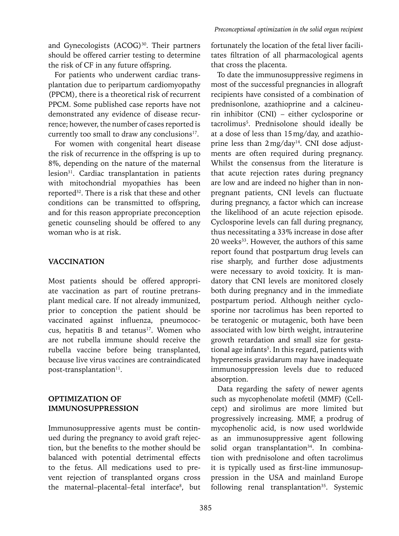and Gynecologists (ACOG)<sup>30</sup>. Their partners should be offered carrier testing to determine the risk of CF in any future offspring.

For patients who underwent cardiac transplantation due to peripartum cardiomyopathy (PPCM), there is a theoretical risk of recurrent PPCM. Some published case reports have not demonstrated any evidence of disease recurrence; however, the number of cases reported is currently too small to draw any conclusions<sup>17</sup>.

For women with congenital heart disease the risk of recurrence in the offspring is up to 8%, depending on the nature of the maternal lesion<sup>31</sup>. Cardiac transplantation in patients with mitochondrial myopathies has been reported32. There is a risk that these and other conditions can be transmitted to offspring, and for this reason appropriate preconception genetic counseling should be offered to any woman who is at risk.

## **VACCINATION**

Most patients should be offered appropriate vaccination as part of routine pretransplant medical care. If not already immunized, prior to conception the patient should be vaccinated against influenza, pneumococcus, hepatitis B and tetanus<sup>17</sup>. Women who are not rubella immune should receive the rubella vaccine before being transplanted, because live virus vaccines are contraindicated post-transplantation<sup>11</sup>.

# **OPTIMIZATION OF IMMUNOSUPPRESSION**

Immunosuppressive agents must be continued during the pregnancy to avoid graft rejection, but the benefits to the mother should be balanced with potential detrimental effects to the fetus. All medications used to prevent rejection of transplanted organs cross the maternal-placental-fetal interface<sup>8</sup>, but fortunately the location of the fetal liver facilitates filtration of all pharmacological agents that cross the placenta.

To date the immunosuppressive regimens in most of the successful pregnancies in allograft recipients have consisted of a combination of prednisonlone, azathioprine and a calcineurin inhibitor (CNI) – either cyclosporine or tacrolimus5 . Prednisolone should ideally be at a dose of less than 15mg/day, and azathioprine less than 2mg/day<sup>14</sup>. CNI dose adjustments are often required during pregnancy. Whilst the consensus from the literature is that acute rejection rates during pregnancy are low and are indeed no higher than in nonpregnant patients, CNI levels can fluctuate during pregnancy, a factor which can increase the likelihood of an acute rejection episode. Cyclosporine levels can fall during pregnancy, thus necessitating a 33% increase in dose after 20 weeks<sup>33</sup>. However, the authors of this same report found that postpartum drug levels can rise sharply, and further dose adjustments were necessary to avoid toxicity. It is mandatory that CNI levels are monitored closely both during pregnancy and in the immediate postpartum period. Although neither cyclosporine nor tacrolimus has been reported to be teratogenic or mutagenic, both have been associated with low birth weight, intrauterine growth retardation and small size for gestational age infants<sup>5</sup>. In this regard, patients with hyperemesis gravidarum may have inadequate immunosuppression levels due to reduced absorption.

Data regarding the safety of newer agents such as mycophenolate mofetil (MMF) (Cellcept) and sirolimus are more limited but progressively increasing. MMF, a prodrug of mycophenolic acid, is now used worldwide as an immunosuppressive agent following solid organ transplantation<sup>34</sup>. In combination with prednisolone and often tacrolimus it is typically used as first-line immunosuppression in the USA and mainland Europe following renal transplantation<sup>35</sup>. Systemic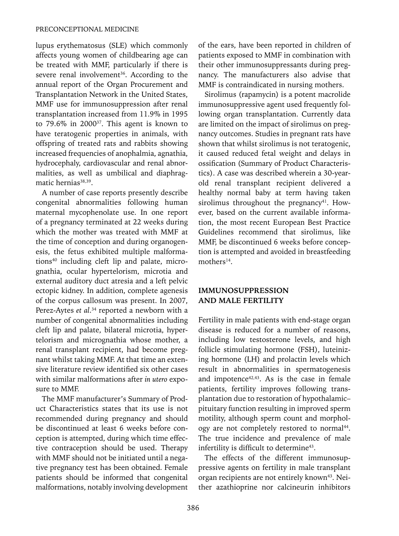lupus erythematosus (SLE) which commonly affects young women of childbearing age can be treated with MMF, particularly if there is severe renal involvement<sup>36</sup>. According to the annual report of the Organ Procurement and Transplantation Network in the United States, MMF use for immunosuppression after renal transplantation increased from 11.9% in 1995 to  $79.6\%$  in  $2000^{37}$ . This agent is known to have teratogenic properties in animals, with offspring of treated rats and rabbits showing increased frequencies of anophalmia, agnathia, hydrocephaly, cardiovascular and renal abnormalities, as well as umbilical and diaphragmatic hernias<sup>38,39</sup>.

A number of case reports presently describe congenital abnormalities following human maternal mycophenolate use. In one report of a pregnancy terminated at 22 weeks during which the mother was treated with MMF at the time of conception and during organogenesis, the fetus exhibited multiple malformations<sup>40</sup> including cleft lip and palate, micrognathia, ocular hypertelorism, microtia and external auditory duct atresia and a left pelvic ectopic kidney. In addition, complete agenesis of the corpus callosum was present. In 2007, Perez-Aytes *et al*.<sup>34</sup> reported a newborn with a number of congenital abnormalities including cleft lip and palate, bilateral microtia, hypertelorism and micrognathia whose mother, a renal transplant recipient, had become pregnant whilst taking MMF. At that time an extensive literature review identified six other cases with similar malformations after *in utero* exposure to MMF.

The MMF manufacturer's Summary of Product Characteristics states that its use is not recommended during pregnancy and should be discontinued at least 6 weeks before conception is attempted, during which time effective contraception should be used. Therapy with MMF should not be initiated until a negative pregnancy test has been obtained. Female patients should be informed that congenital malformations, notably involving development of the ears, have been reported in children of patients exposed to MMF in combination with their other immunosuppressants during pregnancy. The manufacturers also advise that MMF is contraindicated in nursing mothers.

Sirolimus (rapamycin) is a potent macrolide immunosuppressive agent used frequently following organ transplantation. Currently data are limited on the impact of sirolimus on pregnancy outcomes. Studies in pregnant rats have shown that whilst sirolimus is not teratogenic, it caused reduced fetal weight and delays in ossification (Summary of Product Characteristics). A case was described wherein a 30-yearold renal transplant recipient delivered a healthy normal baby at term having taken sirolimus throughout the pregnancy $41$ . However, based on the current available information, the most recent European Best Practice Guidelines recommend that sirolimus, like MMF, be discontinued 6 weeks before conception is attempted and avoided in breastfeeding mothers<sup>14</sup>.

#### **IMMUNOSUPPRESSION AND MALE FERTILITY**

Fertility in male patients with end-stage organ disease is reduced for a number of reasons, including low testosterone levels, and high follicle stimulating hormone (FSH), luteinizing hormone (LH) and prolactin levels which result in abnormalities in spermatogenesis and impotence $42,43$ . As is the case in female patients, fertility improves following transplantation due to restoration of hypothalamic– pituitary function resulting in improved sperm motility, although sperm count and morphology are not completely restored to normal<sup>44</sup>. The true incidence and prevalence of male infertility is difficult to determine<sup>43</sup>.

The effects of the different immunosuppressive agents on fertility in male transplant organ recipients are not entirely known<sup>43</sup>. Neither azathioprine nor calcineurin inhibitors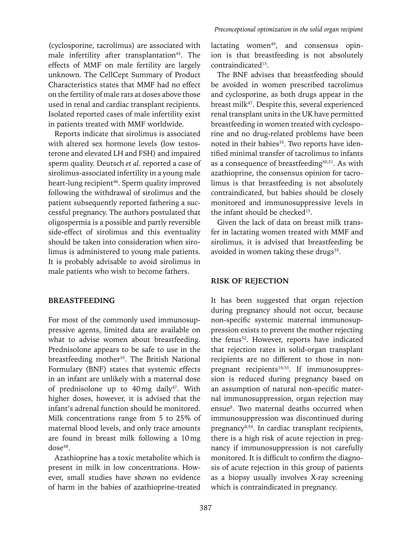(cyclosporine, tacrolimus) are associated with male infertility after transplantation<sup>45</sup>. The effects of MMF on male fertility are largely unknown. The CellCept Summary of Product Characteristics states that MMF had no effect on the fertility of male rats at doses above those used in renal and cardiac transplant recipients. Isolated reported cases of male infertility exist in patients treated with MMF worldwide.

Reports indicate that sirolimus is associated with altered sex hormone levels (low testosterone and elevated LH and FSH) and impaired sperm quality. Deutsch *et al.* reported a case of sirolimus-associated infertility in a young male heart-lung recipient<sup>46</sup>. Sperm quality improved following the withdrawal of sirolimus and the patient subsequently reported fathering a successful pregnancy. The authors postulated that oligospermia is a possible and partly reversible side-effect of sirolimus and this eventuality should be taken into consideration when sirolimus is administered to young male patients. It is probably advisable to avoid sirolimus in male patients who wish to become fathers.

#### **BREASTFEEDING**

For most of the commonly used immunosuppressive agents, limited data are available on what to advise women about breastfeeding. Prednisolone appears to be safe to use in the breastfeeding mother<sup>35</sup>. The British National Formulary (BNF) states that systemic effects in an infant are unlikely with a maternal dose of prednisolone up to 40mg daily<sup>47</sup>. With higher doses, however, it is advised that the infant's adrenal function should be monitored. Milk concentrations range from 5 to 25% of maternal blood levels, and only trace amounts are found in breast milk following a 10mg dose<sup>48</sup>.

Azathioprine has a toxic metabolite which is present in milk in low concentrations. However, small studies have shown no evidence of harm in the babies of azathioprine-treated

lactating women<sup>49</sup>, and consensus opinion is that breastfeeding is not absolutely contraindicated<sup>15</sup>.

The BNF advises that breastfeeding should be avoided in women prescribed tacrolimus and cyclosporine, as both drugs appear in the breast milk47. Despite this, several experienced renal transplant units in the UK have permitted breastfeeding in women treated with cyclosporine and no drug-related problems have been noted in their babies<sup>35</sup>. Two reports have identified minimal transfer of tacrolimus to infants as a consequence of breastfeeding<sup>50,51</sup>. As with azathioprine, the consensus opinion for tacrolimus is that breastfeeding is not absolutely contraindicated, but babies should be closely monitored and immunosuppressive levels in the infant should be checked<sup>15</sup>.

Given the lack of data on breast milk transfer in lactating women treated with MMF and sirolimus, it is advised that breastfeeding be avoided in women taking these drugs $35$ .

#### **RISK OF REJECTION**

It has been suggested that organ rejection during pregnancy should not occur, because non-specific systemic maternal immunosuppression exists to prevent the mother rejecting the fetus<sup>52</sup>. However, reports have indicated that rejection rates in solid-organ transplant recipients are no different to those in nonpregnant recipients<sup>14,53</sup>. If immunosuppression is reduced during pregnancy based on an assumption of natural non-specific maternal immunosuppression, organ rejection may ensue<sup>8</sup>. Two maternal deaths occurred when immunosuppression was discontinued during pregnancy8,54. In cardiac transplant recipients, there is a high risk of acute rejection in pregnancy if immunosuppression is not carefully monitored. It is difficult to confirm the diagnosis of acute rejection in this group of patients as a biopsy usually involves X-ray screening which is contraindicated in pregnancy.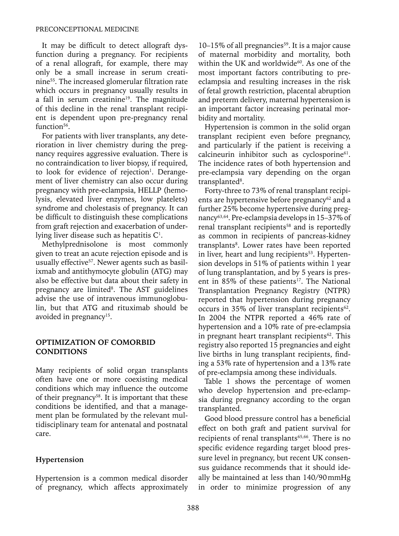It may be difficult to detect allograft dysfunction during a pregnancy. For recipients of a renal allograft, for example, there may only be a small increase in serum creatinine55. The increased glomerular filtration rate which occurs in pregnancy usually results in a fall in serum creatinine<sup>19</sup>. The magnitude of this decline in the renal transplant recipient is dependent upon pre-pregnancy renal function<sup>56</sup>.

For patients with liver transplants, any deterioration in liver chemistry during the pregnancy requires aggressive evaluation. There is no contraindication to liver biopsy, if required, to look for evidence of rejection<sup>1</sup>. Derangement of liver chemistry can also occur during pregnancy with pre-eclampsia, HELLP (hemolysis, elevated liver enzymes, low platelets) syndrome and cholestasis of pregnancy. It can be difficult to distinguish these complications from graft rejection and exacerbation of underlying liver disease such as hepatitis  $C^1$ .

Methylprednisolone is most commonly given to treat an acute rejection episode and is usually effective<sup>57</sup>. Newer agents such as basilixmab and antithymocyte globulin (ATG) may also be effective but data about their safety in pregnancy are limited<sup>8</sup>. The AST guidelines advise the use of intravenous immunoglobulin, but that ATG and rituximab should be avoided in pregnancy<sup>15</sup>.

#### **OPTIMIZATION OF COMORBID CONDITIONS**

Many recipients of solid organ transplants often have one or more coexisting medical conditions which may influence the outcome of their pregnancy<sup>58</sup>. It is important that these conditions be identified, and that a management plan be formulated by the relevant multidisciplinary team for antenatal and postnatal care.

#### **Hypertension**

Hypertension is a common medical disorder of pregnancy, which affects approximately

 $10-15\%$  of all pregnancies<sup>59</sup>. It is a major cause of maternal morbidity and mortality, both within the UK and worldwide<sup>60</sup>. As one of the most important factors contributing to preeclampsia and resulting increases in the risk of fetal growth restriction, placental abruption and preterm delivery, maternal hypertension is an important factor increasing perinatal morbidity and mortality.

Hypertension is common in the solid organ transplant recipient even before pregnancy, and particularly if the patient is receiving a calcineurin inhibitor such as cyclosporine<sup>61</sup>. The incidence rates of both hypertension and pre-eclampsia vary depending on the organ transplanted<sup>8</sup>.

Forty-three to 73% of renal transplant recipients are hypertensive before pregnancy<sup>62</sup> and a further 25% become hypertensive during pregnancy63,64. Pre-eclampsia develops in 15–37% of renal transplant recipients<sup>58</sup> and is reportedly as common in recipients of pancreas-kidney transplants<sup>8</sup>. Lower rates have been reported in liver, heart and lung recipients<sup>53</sup>. Hypertension develops in 51% of patients within 1 year of lung transplantation, and by 5 years is present in 85% of these patients<sup>17</sup>. The National Transplantation Pregnancy Registry (NTPR) reported that hypertension during pregnancy occurs in 35% of liver transplant recipients<sup>62</sup>. In 2004 the NTPR reported a 46% rate of hypertension and a 10% rate of pre-eclampsia in pregnant heart transplant recipients<sup>62</sup>. This registry also reported 15 pregnancies and eight live births in lung transplant recipients, finding a 53% rate of hypertension and a 13% rate of pre-eclampsia among these individuals.

Table 1 shows the percentage of women who develop hypertension and pre-eclampsia during pregnancy according to the organ transplanted.

Good blood pressure control has a beneficial effect on both graft and patient survival for recipients of renal transplants<sup>65,66</sup>. There is no specific evidence regarding target blood pressure level in pregnancy, but recent UK consensus guidance recommends that it should ideally be maintained at less than 140/90mmHg in order to minimize progression of any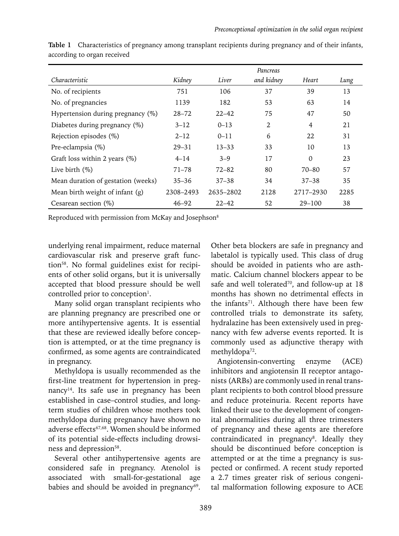|                                      |           |           | Pancreas   |            |      |
|--------------------------------------|-----------|-----------|------------|------------|------|
| Characteristic                       | Kidney    | Liver     | and kidney | Heart      | Lung |
| No. of recipients                    | 751       | 106       | 37         | 39         | 13   |
| No. of pregnancies                   | 1139      | 182       | 53         | 63         | 14   |
| Hypertension during pregnancy $(\%)$ | $28 - 72$ | $22 - 42$ | 75         | 47         | 50   |
| Diabetes during pregnancy (%)        | $3 - 12$  | $0 - 13$  | 2          | 4          | 21   |
| Rejection episodes (%)               | $2 - 12$  | $0 - 11$  | 6          | 22         | 31   |
| Pre-eclampsia (%)                    | $29 - 31$ | $13 - 33$ | 33         | 10         | 13   |
| Graft loss within 2 years $(\%)$     | $4 - 14$  | $3 - 9$   | 17         | $\Omega$   | 23   |
| Live birth $(\%)$                    | $71 - 78$ | $72 - 82$ | 80         | 70–80      | 57   |
| Mean duration of gestation (weeks)   | $35 - 36$ | $37 - 38$ | 34         | $37 - 38$  | 35   |
| Mean birth weight of infant $(g)$    | 2308-2493 | 2635-2802 | 2128       | 2717-2930  | 2285 |
| Cesarean section $(\%)$              | $46 - 92$ | $22 - 42$ | 52         | $29 - 100$ | 38   |

**Table 1** Characteristics of pregnancy among transplant recipients during pregnancy and of their infants, according to organ received

Reproduced with permission from McKay and Josephson8

underlying renal impairment, reduce maternal cardiovascular risk and preserve graft function58. No formal guidelines exist for recipients of other solid organs, but it is universally accepted that blood pressure should be well controlled prior to conception<sup>1</sup>.

Many solid organ transplant recipients who are planning pregnancy are prescribed one or more antihypertensive agents. It is essential that these are reviewed ideally before conception is attempted, or at the time pregnancy is confirmed, as some agents are contraindicated in pregnancy.

Methyldopa is usually recommended as the first-line treatment for hypertension in pregnancy<sup>14</sup>. Its safe use in pregnancy has been established in case–control studies, and longterm studies of children whose mothers took methyldopa during pregnancy have shown no adverse effects<sup>67,68</sup>. Women should be informed of its potential side-effects including drowsiness and depression<sup>58</sup>.

Several other antihypertensive agents are considered safe in pregnancy. Atenolol is associated with small-for-gestational age babies and should be avoided in pregnancy $69$ . Other beta blockers are safe in pregnancy and labetalol is typically used. This class of drug should be avoided in patients who are asthmatic. Calcium channel blockers appear to be safe and well tolerated<sup>70</sup>, and follow-up at 18 months has shown no detrimental effects in the infants<sup>71</sup>. Although there have been few controlled trials to demonstrate its safety, hydralazine has been extensively used in pregnancy with few adverse events reported. It is commonly used as adjunctive therapy with methyldopa<sup>72</sup>.

Angiotensin-converting enzyme (ACE) inhibitors and angiotensin II receptor antagonists (ARBs) are commonly used in renal transplant recipients to both control blood pressure and reduce proteinuria. Recent reports have linked their use to the development of congenital abnormalities during all three trimesters of pregnancy and these agents are therefore contraindicated in pregnancy<sup>8</sup>. Ideally they should be discontinued before conception is attempted or at the time a pregnancy is suspected or confirmed. A recent study reported a 2.7 times greater risk of serious congenital malformation following exposure to ACE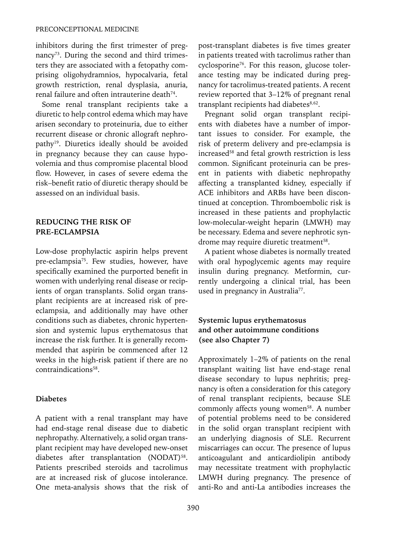inhibitors during the first trimester of pregnancy<sup>73</sup>. During the second and third trimesters they are associated with a fetopathy comprising oligohydramnios, hypocalvaria, fetal growth restriction, renal dysplasia, anuria, renal failure and often intrauterine death<sup>74</sup>.

Some renal transplant recipients take a diuretic to help control edema which may have arisen secondary to proteinuria, due to either recurrent disease or chronic allograft nephropathy<sup>19</sup>. Diuretics ideally should be avoided in pregnancy because they can cause hypovolemia and thus compromise placental blood flow. However, in cases of severe edema the risk–benefit ratio of diuretic therapy should be assessed on an individual basis.

#### **Reducing the risk of pre-eclampsia**

Low-dose prophylactic aspirin helps prevent pre-eclampsia<sup>75</sup>. Few studies, however, have specifically examined the purported benefit in women with underlying renal disease or recipients of organ transplants. Solid organ transplant recipients are at increased risk of preeclampsia, and additionally may have other conditions such as diabetes, chronic hypertension and systemic lupus erythematosus that increase the risk further. It is generally recommended that aspirin be commenced after 12 weeks in the high-risk patient if there are no contraindications58.

#### **Diabetes**

A patient with a renal transplant may have had end-stage renal disease due to diabetic nephropathy. Alternatively, a solid organ transplant recipient may have developed new-onset diabetes after transplantation (NODAT)<sup>58</sup>. Patients prescribed steroids and tacrolimus are at increased risk of glucose intolerance. One meta-analysis shows that the risk of post-transplant diabetes is five times greater in patients treated with tacrolimus rather than cyclosporine76. For this reason, glucose tolerance testing may be indicated during pregnancy for tacrolimus-treated patients. A recent review reported that 3–12% of pregnant renal transplant recipients had diabetes<sup>8,62</sup>.

Pregnant solid organ transplant recipients with diabetes have a number of important issues to consider. For example, the risk of preterm delivery and pre-eclampsia is increased<sup>58</sup> and fetal growth restriction is less common. Significant proteinuria can be present in patients with diabetic nephropathy affecting a transplanted kidney, especially if ACE inhibitors and ARBs have been discontinued at conception. Thromboembolic risk is increased in these patients and prophylactic low-molecular-weight heparin (LMWH) may be necessary. Edema and severe nephrotic syndrome may require diuretic treatment<sup>58</sup>.

A patient whose diabetes is normally treated with oral hypoglycemic agents may require insulin during pregnancy. Metformin, currently undergoing a clinical trial, has been used in pregnancy in Australia<sup>77</sup>.

# **Systemic lupus erythematosus and other autoimmune conditions (see also Chapter 7)**

Approximately 1–2% of patients on the renal transplant waiting list have end-stage renal disease secondary to lupus nephritis; pregnancy is often a consideration for this category of renal transplant recipients, because SLE commonly affects young women<sup>58</sup>. A number of potential problems need to be considered in the solid organ transplant recipient with an underlying diagnosis of SLE. Recurrent miscarriages can occur. The presence of lupus anticoagulant and anticardiolipin antibody may necessitate treatment with prophylactic LMWH during pregnancy. The presence of anti-Ro and anti-La antibodies increases the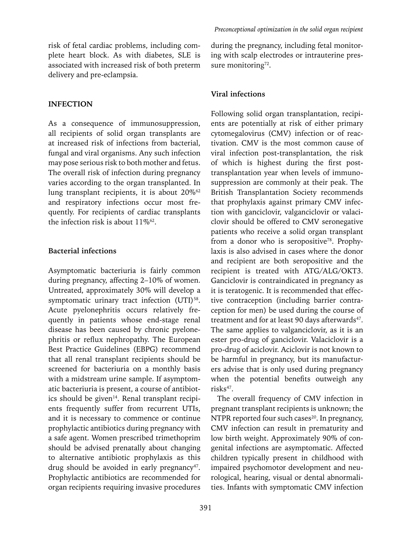risk of fetal cardiac problems, including complete heart block. As with diabetes, SLE is associated with increased risk of both preterm delivery and pre-eclampsia.

#### **Infection**

As a consequence of immunosuppression, all recipients of solid organ transplants are at increased risk of infections from bacterial, fungal and viral organisms. Any such infection may pose serious risk to both mother and fetus. The overall risk of infection during pregnancy varies according to the organ transplanted. In lung transplant recipients, it is about 20%<sup>62</sup> and respiratory infections occur most frequently. For recipients of cardiac transplants the infection risk is about  $11\%$ <sup>62</sup>.

#### **Bacterial infections**

Asymptomatic bacteriuria is fairly common during pregnancy, affecting 2–10% of women. Untreated, approximately 30% will develop a symptomatic urinary tract infection (UTI)<sup>58</sup>. Acute pyelonephritis occurs relatively frequently in patients whose end-stage renal disease has been caused by chronic pyelonephritis or reflux nephropathy. The European Best Practice Guidelines (EBPG) recommend that all renal transplant recipients should be screened for bacteriuria on a monthly basis with a midstream urine sample. If asymptomatic bacteriuria is present, a course of antibiotics should be given $14$ . Renal transplant recipients frequently suffer from recurrent UTIs, and it is necessary to commence or continue prophylactic antibiotics during pregnancy with a safe agent. Women prescribed trimethoprim should be advised prenatally about changing to alternative antibiotic prophylaxis as this drug should be avoided in early pregnancy $47$ . Prophylactic antibiotics are recommended for organ recipients requiring invasive procedures during the pregnancy, including fetal monitoring with scalp electrodes or intrauterine pressure monitoring<sup>72</sup>.

#### **Viral infections**

Following solid organ transplantation, recipients are potentially at risk of either primary cytomegalovirus (CMV) infection or of reactivation. CMV is the most common cause of viral infection post-transplantation, the risk of which is highest during the first posttransplantation year when levels of immunosuppression are commonly at their peak. The British Transplantation Society recommends that prophylaxis against primary CMV infection with ganciclovir, valganciclovir or valaciclovir should be offered to CMV seronegative patients who receive a solid organ transplant from a donor who is seropositive<sup>78</sup>. Prophylaxis is also advised in cases where the donor and recipient are both seropositive and the recipient is treated with ATG/ALG/OKT3. Ganciclovir is contraindicated in pregnancy as it is teratogenic. It is recommended that effective contraception (including barrier contraception for men) be used during the course of treatment and for at least 90 days afterwards<sup>47</sup>. The same applies to valganciclovir, as it is an ester pro-drug of ganciclovir. Valaciclovir is a pro-drug of aciclovir. Aciclovir is not known to be harmful in pregnancy, but its manufacturers advise that is only used during pregnancy when the potential benefits outweigh any risks<sup>47</sup>.

The overall frequency of CMV infection in pregnant transplant recipients is unknown; the NTPR reported four such cases<sup>20</sup>. In pregnancy, CMV infection can result in prematurity and low birth weight. Approximately 90% of congenital infections are asymptomatic. Affected children typically present in childhood with impaired psychomotor development and neurological, hearing, visual or dental abnormalities. Infants with symptomatic CMV infection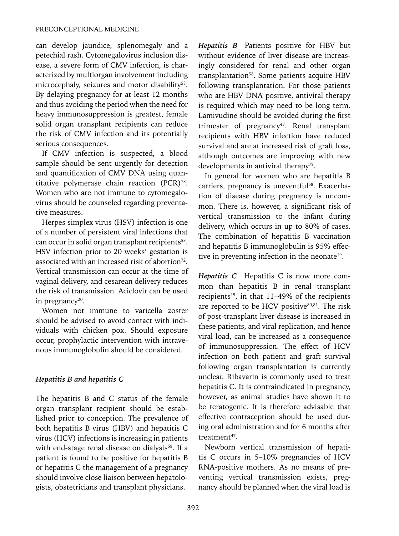can develop jaundice, splenomegaly and a petechial rash. Cytomegalovirus inclusion disease, a severe form of CMV infection, is characterized by multiorgan involvement including microcephaly, seizures and motor disability<sup>58</sup>. By delaying pregnancy for at least 12 months and thus avoiding the period when the need for heavy immunosuppression is greatest, female solid organ transplant recipients can reduce the risk of CMV infection and its potentially serious consequences.

If CMV infection is suspected, a blood sample should be sent urgently for detection and quantification of CMV DNA using quantitative polymerase chain reaction  $(PCR)^{78}$ . Women who are not immune to cytomegalovirus should be counseled regarding preventative measures.

Herpes simplex virus (HSV) infection is one of a number of persistent viral infections that can occur in solid organ transplant recipients<sup>58</sup>. HSV infection prior to 20 weeks' gestation is associated with an increased risk of abortion<sup>72</sup>. Vertical transmission can occur at the time of vaginal delivery, and cesarean delivery reduces the risk of transmission. Aciclovir can be used in pregnancy $20$ .

Women not immune to varicella zoster should be advised to avoid contact with individuals with chicken pox. Should exposure occur, prophylactic intervention with intravenous immunoglobulin should be considered.

# *Hepatitis B and hepatitis C*

The hepatitis B and C status of the female organ transplant recipient should be established prior to conception. The prevalence of both hepatitis B virus (HBV) and hepatitis C virus (HCV) infections is increasing in patients with end-stage renal disease on dialysis<sup>58</sup>. If a patient is found to be positive for hepatitis B or hepatitis C the management of a pregnancy should involve close liaison between hepatologists, obstetricians and transplant physicians.

*Hepatitis B* Patients positive for HBV but without evidence of liver disease are increasingly considered for renal and other organ transplantation<sup>58</sup>. Some patients acquire HBV following transplantation. For those patients who are HBV DNA positive, antiviral therapy is required which may need to be long term. Lamivudine should be avoided during the first trimester of pregnancy<sup>47</sup>. Renal transplant recipients with HBV infection have reduced survival and are at increased risk of graft loss, although outcomes are improving with new developments in antiviral therapy<sup>79</sup>.

In general for women who are hepatitis B carriers, pregnancy is uneventful<sup>58</sup>. Exacerbation of disease during pregnancy is uncommon. There is, however, a significant risk of vertical transmission to the infant during delivery, which occurs in up to 80% of cases. The combination of hepatitis B vaccination and hepatitis B immunoglobulin is 95% effective in preventing infection in the neonate<sup>19</sup>.

*Hepatitis C* Hepatitis C is now more common than hepatitis B in renal transplant recipients<sup>19</sup>, in that 11-49% of the recipients are reported to be HCV positive<sup>80,81</sup>. The risk of post-transplant liver disease is increased in these patients, and viral replication, and hence viral load, can be increased as a consequence of immunosuppression. The effect of HCV infection on both patient and graft survival following organ transplantation is currently unclear. Ribavarin is commonly used to treat hepatitis C. It is contraindicated in pregnancy, however, as animal studies have shown it to be teratogenic. It is therefore advisable that effective contraception should be used during oral administration and for 6 months after treatment<sup>47</sup>.

Newborn vertical transmission of hepatitis C occurs in 5–10% pregnancies of HCV RNA-positive mothers. As no means of preventing vertical transmission exists, pregnancy should be planned when the viral load is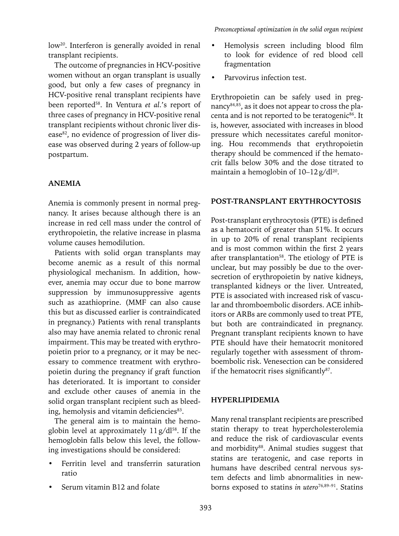low<sup>20</sup>. Interferon is generally avoided in renal transplant recipients.

The outcome of pregnancies in HCV-positive women without an organ transplant is usually good, but only a few cases of pregnancy in HCV-positive renal transplant recipients have been reported58. In Ventura *et al*.'s report of three cases of pregnancy in HCV-positive renal transplant recipients without chronic liver disease<sup>82</sup>, no evidence of progression of liver disease was observed during 2 years of follow-up postpartum.

# **Anemia**

Anemia is commonly present in normal pregnancy. It arises because although there is an increase in red cell mass under the control of erythropoietin, the relative increase in plasma volume causes hemodilution.

Patients with solid organ transplants may become anemic as a result of this normal physiological mechanism. In addition, however, anemia may occur due to bone marrow suppression by immunosuppressive agents such as azathioprine. (MMF can also cause this but as discussed earlier is contraindicated in pregnancy.) Patients with renal transplants also may have anemia related to chronic renal impairment. This may be treated with erythropoietin prior to a pregnancy, or it may be necessary to commence treatment with erythropoietin during the pregnancy if graft function has deteriorated. It is important to consider and exclude other causes of anemia in the solid organ transplant recipient such as bleeding, hemolysis and vitamin deficiencies<sup>83</sup>.

The general aim is to maintain the hemoglobin level at approximately  $11g/dl^{58}$ . If the hemoglobin falls below this level, the following investigations should be considered:

- Ferritin level and transferrin saturation ratio
- Serum vitamin B12 and folate
- Hemolysis screen including blood film to look for evidence of red blood cell fragmentation
- Parvovirus infection test.

Erythropoietin can be safely used in pregnancy84,85, as it does not appear to cross the placenta and is not reported to be teratogenic<sup>86</sup>. It is, however, associated with increases in blood pressure which necessitates careful monitoring. Hou recommends that erythropoietin therapy should be commenced if the hematocrit falls below 30% and the dose titrated to maintain a hemoglobin of  $10-12$  g/dl<sup>20</sup>.

## **Post-transplant erythrocytosis**

Post-transplant erythrocytosis (PTE) is defined as a hematocrit of greater than 51%. It occurs in up to 20% of renal transplant recipients and is most common within the first 2 years after transplantation<sup>58</sup>. The etiology of PTE is unclear, but may possibly be due to the oversecretion of erythropoietin by native kidneys, transplanted kidneys or the liver. Untreated, PTE is associated with increased risk of vascular and thromboembolic disorders. ACE inhibitors or ARBs are commonly used to treat PTE, but both are contraindicated in pregnancy. Pregnant transplant recipients known to have PTE should have their hematocrit monitored regularly together with assessment of thromboembolic risk. Venesection can be considered if the hematocrit rises significantly<sup>87</sup>.

#### **Hyperlipidemia**

Many renal transplant recipients are prescribed statin therapy to treat hypercholesterolemia and reduce the risk of cardiovascular events and morbidity<sup>88</sup>. Animal studies suggest that statins are teratogenic, and case reports in humans have described central nervous system defects and limb abnormalities in newborns exposed to statins *in utero*76,89–91. Statins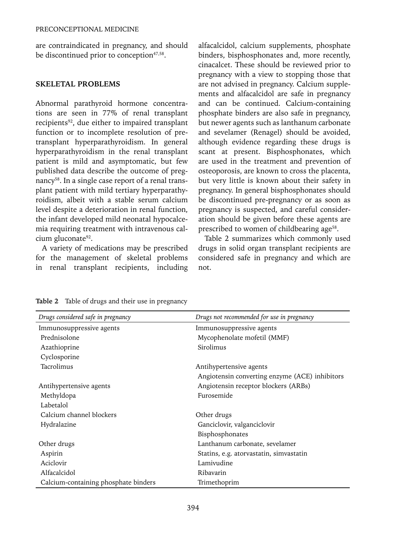are contraindicated in pregnancy, and should be discontinued prior to conception<sup>47,58</sup>.

#### **Skeletal problems**

Abnormal parathyroid hormone concentrations are seen in 77% of renal transplant recipients<sup>92</sup>, due either to impaired transplant function or to incomplete resolution of pretransplant hyperparathyroidism. In general hyperparathyroidism in the renal transplant patient is mild and asymptomatic, but few published data describe the outcome of pregnancy<sup>58</sup>. In a single case report of a renal transplant patient with mild tertiary hyperparathyroidism, albeit with a stable serum calcium level despite a deterioration in renal function, the infant developed mild neonatal hypocalcemia requiring treatment with intravenous calcium gluconate<sup>92</sup>.

A variety of medications may be prescribed for the management of skeletal problems in renal transplant recipients, including alfacalcidol, calcium supplements, phosphate binders, bisphosphonates and, more recently, cinacalcet. These should be reviewed prior to pregnancy with a view to stopping those that are not advised in pregnancy. Calcium supplements and alfacalcidol are safe in pregnancy and can be continued. Calcium-containing phosphate binders are also safe in pregnancy, but newer agents such as lanthanum carbonate and sevelamer (Renagel) should be avoided, although evidence regarding these drugs is scant at present. Bisphosphonates, which are used in the treatment and prevention of osteoporosis, are known to cross the placenta, but very little is known about their safety in pregnancy. In general bisphosphonates should be discontinued pre-pregnancy or as soon as pregnancy is suspected, and careful consideration should be given before these agents are prescribed to women of childbearing age<sup>58</sup>.

Table 2 summarizes which commonly used drugs in solid organ transplant recipients are considered safe in pregnancy and which are not.

| Drugs considered safe in pregnancy   | Drugs not recommended for use in pregnancy     |  |
|--------------------------------------|------------------------------------------------|--|
| Immunosuppressive agents             | Immunosuppressive agents                       |  |
| Prednisolone                         | Mycophenolate mofetil (MMF)                    |  |
| Azathioprine                         | Sirolimus                                      |  |
| Cyclosporine                         |                                                |  |
| Tacrolimus                           | Antihypertensive agents                        |  |
|                                      | Angiotensin converting enzyme (ACE) inhibitors |  |
| Antihypertensive agents              | Angiotensin receptor blockers (ARBs)           |  |
| Methyldopa                           | Furosemide                                     |  |
| Labetalol                            |                                                |  |
| Calcium channel blockers             | Other drugs                                    |  |
| Hydralazine                          | Ganciclovir, valganciclovir                    |  |
|                                      | Bisphosphonates                                |  |
| Other drugs                          | Lanthanum carbonate, sevelamer                 |  |
| Aspirin                              | Statins, e.g. atorvastatin, simvastatin        |  |
| Aciclovir                            | Lamivudine                                     |  |
| Alfacalcidol                         | Ribavarin                                      |  |
| Calcium-containing phosphate binders | Trimethoprim                                   |  |

**Table 2** Table of drugs and their use in pregnancy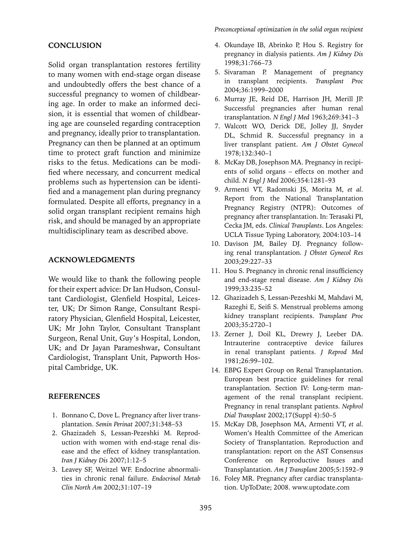#### **CONCLUSION**

Solid organ transplantation restores fertility to many women with end-stage organ disease and undoubtedly offers the best chance of a successful pregnancy to women of childbearing age. In order to make an informed decision, it is essential that women of childbearing age are counseled regarding contraception and pregnancy, ideally prior to transplantation. Pregnancy can then be planned at an optimum time to protect graft function and minimize risks to the fetus. Medications can be modified where necessary, and concurrent medical problems such as hypertension can be identified and a management plan during pregnancy formulated. Despite all efforts, pregnancy in a solid organ transplant recipient remains high risk, and should be managed by an appropriate multidisciplinary team as described above.

#### **ACKNOWLEDGMENTS**

We would like to thank the following people for their expert advice: Dr Ian Hudson, Consultant Cardiologist, Glenfield Hospital, Leicester, UK; Dr Simon Range, Consultant Respiratory Physician, Glenfield Hospital, Leicester, UK; Mr John Taylor, Consultant Transplant Surgeon, Renal Unit, Guy's Hospital, London, UK; and Dr Jayan Parameshwar**,** Consultant Cardiologist, Transplant Unit, Papworth Hospital Cambridge, UK.

#### **References**

- 1. Bonnano C, Dove L. Pregnancy after liver transplantation. *Semin Perinat* 2007;31:348–53
- 2. Ghazizadeh S, Lessan-Pezeshki M. Reproduction with women with end-stage renal disease and the effect of kidney transplantation. *Iran J Kidney Dis* 2007;1:12–5
- 3. Leavey SF, Weitzel WF. Endocrine abnormalities in chronic renal failure. *Endocrinol Metab Clin North Am* 2002;31:107–19
- 4. Okundaye IB, Abrinko P, Hou S. Registry for pregnancy in dialysis patients. *Am J Kidney Dis* 1998;31:766–73
- 5. Sivaraman P. Management of pregnancy in transplant recipients. *Transplant Proc* 2004;36:1999–2000
- 6. Murray JE, Reid DE, Harrison JH, Merill JP. Successful pregnancies after human renal transplantation. *N Engl J Med* 1963;269:341–3
- 7. Walcott WO, Derick DE, Jolley JJ, Snyder DL, Schmid R. Successful pregnancy in a liver transplant patient. *Am J Obstet Gynecol* 1978;132:340–1
- 8. McKay DB, Josephson MA. Pregnancy in recipients of solid organs – effects on mother and child. *N Engl J Med* 2006;354:1281–93
- 9. Armenti VT, Radomski JS, Morita M, *et al*. Report from the National Transplantation Pregnancy Registry (NTPR): Outcomes of pregnancy after transplantation. In: Terasaki PI, Cecka JM, eds. *Clinical Transplants*. Los Angeles: UCLA Tissue Typing Laboratory, 2004:103–14
- 10. Davison JM, Bailey DJ. Pregnancy following renal transplantation. *J Obstet Gynecol Res* 2003;29:227–33
- 11. Hou S. Pregnancy in chronic renal insufficiency and end-stage renal disease. *Am J Kidney Dis* 1999;33:235–52
- 12. Ghazizadeh S, Lessan-Pezeshki M, Mahdavi M, Razeghi E, Seifi S. Menstrual problems among kidney transplant recipients. *Transplant Proc* 2003;35:2720–1
- 13. Zerner J, Doil KL, Drewry J, Leeber DA. Intrauterine contraceptive device failures in renal transplant patients. *J Reprod Med* 1981;26:99–102.
- 14. EBPG Expert Group on Renal Transplantation. European best practice guidelines for renal transplantation. Section IV: Long-term management of the renal transplant recipient. Pregnancy in renal transplant patients. *Nephrol Dial Transplant* 2002;17(Suppl 4):50–5
- 15. McKay DB, Josephson MA, Armenti VT, *et al*. Women's Health Committee of the American Society of Transplantation. Reproduction and transplantation: report on the AST Consensus Conference on Reproductive Issues and Transplantation. *Am J Transplant* 2005;5:1592–9
- 16. Foley MR. Pregnancy after cardiac transplantation. UpToDate; 2008. www.uptodate.com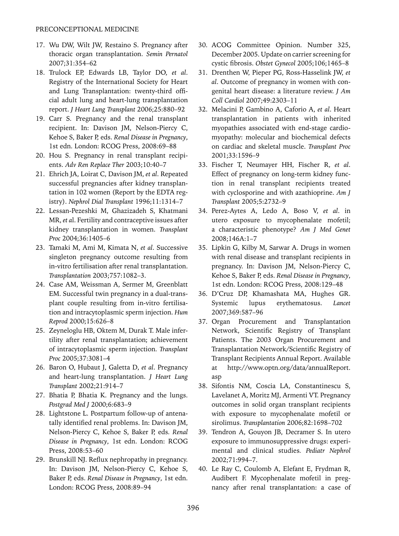- 17. Wu DW, Wilt JW, Restaino S. Pregnancy after thoracic organ transplantation. *Semin Pernatol* 2007;31:354–62
- 18. Trulock EP, Edwards LB, Taylor DO, *et al*. Registry of the International Society for Heart and Lung Transplantation: twenty-third official adult lung and heart-lung transplantation report. *J Heart Lung Transplant* 2006;25:880–92
- 19. Carr S. Pregnancy and the renal transplant recipient. In: Davison JM, Nelson-Piercy C, Kehoe S, Baker P, eds. *Renal Disease in Pregnancy*, 1st edn. London: RCOG Press, 2008:69–88
- 20. Hou S. Pregnancy in renal transplant recipients. *Adv Ren Replace Ther* 2003;10:40–7
- 21. Ehrich JA, Loirat C, Davison JM, *et al*. Repeated successful pregnancies after kidney transplantation in 102 women (Report by the EDTA registry). *Nephrol Dial Transplant* 1996;11:1314–7
- 22. Lessan-Pezeshki M, Ghazizadeh S, Khatmani MR, *et a*l. Fertility and contraceptive issues after kidney transplantation in women. *Transplant Proc* 2004;36:1405–6
- 23. Tamaki M, Ami M, Kimata N, *et al*. Successive singleton pregnancy outcome resulting from in-vitro fertilisation after renal transplantation. *Transplantation* 2003;757:1082–3.
- 24. Case AM, Weissman A, Sermer M, Greenblatt EM. Successful twin pregnancy in a dual-transplant couple resulting from in-vitro fertilisation and intracytoplasmic sperm injection. *Hum Reprod* 2000;15:626–8
- 25. Zeyneloglu HB, Oktem M, Durak T. Male infertility after renal transplantation; achievement of intracytoplasmic sperm injection. *Transplant Proc* 2005;37:3081–4
- 26. Baron O, Hubaut J, Galetta D, *et al*. Pregnancy and heart-lung transplantation. *J Heart Lung Transplant* 2002;21:914–7
- 27. Bhatia P, Bhatia K. Pregnancy and the lungs. *Postgrad Med J* 2000;6:683–9
- 28. Lightstone L. Postpartum follow-up of antenatally identified renal problems. In: Davison JM, Nelson-Piercy C, Kehoe S, Baker P, eds*. Renal Disease in Pregnancy*, 1st edn. London: RCOG Press, 2008:53–60
- 29. Brunskill NJ. Reflux nephropathy in pregnancy. In: Davison JM, Nelson-Piercy C, Kehoe S, Baker P, eds. *Renal Disease in Pregnancy*, 1st edn. London: RCOG Press, 2008:89–94
- 30. ACOG Committee Opinion. Number 325, December 2005. Update on carrier screening for cystic fibrosis. *Obstet Gynecol* 2005;106;1465–8
- 31. Drenthen W, Pieper PG, Ross-Hasselink JW, *et al*. Outcome of pregnancy in women with congenital heart disease: a literature review. *J Am Coll Cardiol* 2007;49:2303–11
- 32. Melacini P, Gambino A, Caforio A, *et al*. Heart transplantation in patients with inherited myopathies associated with end-stage cardiomyopathy: molecular and biochemical defects on cardiac and skeletal muscle. *Transplant Proc* 2001;33:1596–9
- 33. Fischer T, Neumayer HH, Fischer R, *et al*. Effect of pregnancy on long-term kidney function in renal transplant recipients treated with cyclosporine and with azathioprine. *Am J Transplant* 2005;5:2732–9
- 34. Perez-Aytes A, Ledo A, Boso V, *et al*. in utero exposure to mycophenalate mofetil; a characteristic phenotype? *Am J Med Genet* 2008;146A:1–7
- 35. Lipkin G, Kilby M, Sarwar A. Drugs in women with renal disease and transplant recipients in pregnancy. In: Davison JM, Nelson-Piercy C, Kehoe S, Baker P, eds. *Renal Disease in Pregnancy*, 1st edn. London: RCOG Press, 2008:129–48
- 36. D'Cruz DP, Khamashata MA, Hughes GR. Systemic lupus erythematosus. *Lancet* 2007;369:587–96
- 37. Organ Procurement and Transplantation Network, Scientific Registry of Transplant Patients. The 2003 Organ Procurement and Transplantation Network/Scientific Registry of Transplant Recipients Annual Report. Available at http://www.optn.org/data/annualReport. asp
- 38. Sifontis NM, Coscia LA, Constantinescu S, Lavelanet A, Moritz MJ, Armenti VT. Pregnancy outcomes in solid organ transplant recipients with exposure to mycophenalate mofetil or sirolimus. *Transplantation* 2006;82:1698–702
- 39. Tendron A, Gouyon JB, Decramer S. In utero exposure to immunosuppressive drugs: experimental and clinical studies*. Pediatr Nephrol* 2002;71:994–7.
- 40. Le Ray C, Coulomb A, Elefant E, Frydman R, Audibert F. Mycophenalate mofetil in pregnancy after renal transplantation: a case of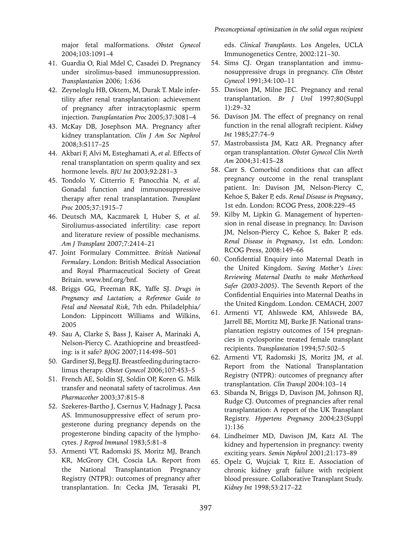major fetal malformations. *Obstet Gynecol* 2004;103:1091–4

- 41. Guardia O, Rial Mdel C, Casadei D. Pregnancy under sirolimus-based immunosuppression. *Transplantation* 2006; 1:636
- 42. Zeyneloglu HB, Oktem, M, Durak T. Male infertility after renal transplantation: achievement of pregnancy after intracytoplasmic sperm injection. *Transplantation Proc* 2005;37:3081–4
- 43. McKay DB, Josephson MA. Pregnancy after kidney transplantation. *Clin J Am Soc Nephrol* 2008;3:S117–25
- 44. Akbari F, Alvi M, Esteghamati A, *et al*. Effects of renal transplantation on sperm quality and sex hormone levels. *BJU Int* 2003;92:281–3
- 45. Tondolo V, Citterrio F, Panocchia N, *et al*. Gonadal function and immunosuppressive therapy after renal transplantation. *Transplant Proc* 2005;37:1915–7
- 46. Deutsch MA, Kaczmarek I, Huber S, *et al*. Siroliumus-associated infertility: case report and literature review of possible mechanisms. *Am J Transplant* 2007;7:2414–21
- 47. Joint Formulary Committee. *British National Formulary*. London: British Medical Association and Royal Pharmaceutical Society of Great Britain. www.bnf.org/bnf.
- 48. Briggs GG, Freeman RK, Yaffe SJ. *Drugs in Pregnancy and Lactation; a Reference Guide to Fetal and Neonatal Risk*, 7th edn. Philadelphia/ London: Lippincott Williams and Wilkins, 2005
- 49. Sau A, Clarke S, Bass J, Kaiser A, Marinaki A, Nelson-Piercy C. Azathioprine and breastfeeding: is it safe? *BJOG* 2007;114:498–501
- 50. Gardiner SJ, Begg EJ. Breastfeeding during tacrolimus therapy. *Obstet Gynecol* 2006;107:453–5
- 51. French AE, Soldin SJ, Soldin OP, Koren G. Milk transfer and neonatal safety of tacrolimus. *Ann Pharmacother* 2003;37:815–8
- 52. Szekeres-Bartho J, Csernus V, Hadnagy J, Pacsa AS. Immunosuppressive effect of serum progesterone during pregnancy depends on the progesterone binding capacity of the lymphocytes. *J Reprod Immunol* 1983;5:81–8
- 53. Armenti VT, Radomski JS, Moritz MJ, Branch KR, McGrory CH, Coscia LA. Report from the National Transplantation Pregnancy Registry (NTPR): outcomes of pregnancy after transplantation. In: Cecka JM, Terasaki PI,

eds. *Clinical Transplants*. Los Angeles, UCLA Immunogenetics Centre, 2002:121–30.

- 54. Sims CJ. Organ transplantation and immunosuppressive drugs in pregnancy. *Clin Obstet Gynecol* 1991;34:100–11
- 55. Davison JM, Milne JEC. Pregnancy and renal transplantation. *Br J Urol* 1997;80(Suppl 1):29–32
- 56. Davison JM. The effect of pregnancy on renal function in the renal allograft recipient. *Kidney Int* 1985;27:74–9
- 57. Mastrobassista JM, Katz AR. Pregnancy after organ transplantation. *Obstet Gynecol Clin North Am* 2004;31:415–28
- 58. Carr S. Comorbid conditions that can affect pregnancy outcome in the renal transplant patient. In: Davison JM, Nelson-Piercy C, Kehoe S, Baker P, eds. *Renal Disease in Pregnancy*, 1st edn. London: RCOG Press, 2008:229–45
- 59. Kilby M, Lipkin G. Management of hypertension in renal disease in pregnancy. In: Davison JM, Nelson-Piercy C, Kehoe S, Baker P, eds. *Renal Disease in Pregnancy*, 1st edn. London: RCOG Press, 2008:149–66
- 60. Confidential Enquiry into Maternal Death in the United Kingdom. *Saving Mother's Lives: Reviewing Maternal Deaths to make Motherhood Safer (2003-2005)*. The Seventh Report of the Confidential Enquiries into Maternal Deaths in the United Kingdom. London. CEMACH, 2007
- 61. Armenti VT, Ahlswede KM, Ahlswede BA, Jarrell BE, Mortitz MJ, Burke JF. National transplantation registry outcomes of 154 pregnancies in cyclosporine treated female transplant recipients. *Transplantation* 1994;57:502–5
- 62. Armenti VT, Radomski JS, Moritz JM, *et al.*  Report from the National Transplantation Registry (NTPR): outcomes of pregnancy after transplantation. *Clin Transpl* 2004:103–14
- 63. Sibanda N, Briggs D, Davison JM, Johnson RJ, Rudge CJ. Outcomes of pregnancies after renal transplantation: A report of the UK Transplant Registry. *Hypertens Pregnancy* 2004;23(Suppl 1):136
- 64. Lindheimer MD, Davison JM, Katz AI. The kidney and hypertension in pregnancy: twenty exciting years. *Semin Nephrol* 2001;21:173–89
- 65. Opelz G, Wujciak T, Ritz E. Association of chronic kidney graft failure with recipient blood pressure. Collaborative Transplant Study. *Kidney Int* 1998;53:217–22